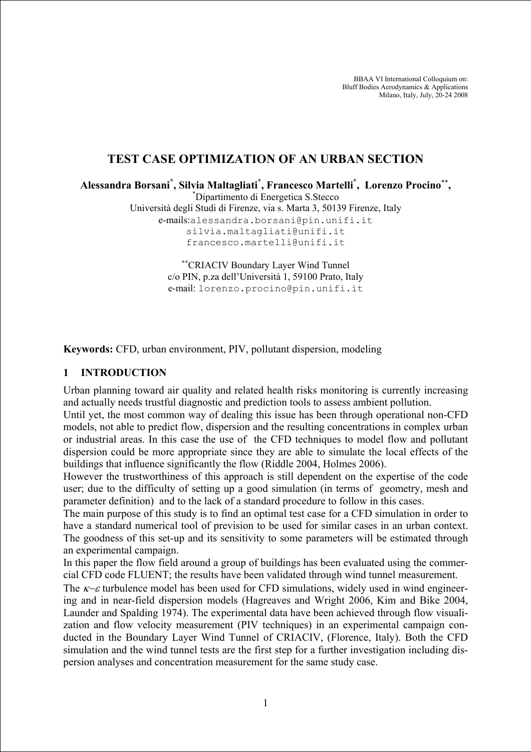BBAA VI International Colloquium on: Bluff Bodies Aerodynamics & Applications Milano, Italy, July, 20-24 2008

# **TEST CASE OPTIMIZATION OF AN URBAN SECTION**

**Alessandra Borsani\* , Silvia Maltagliati\* , Francesco Martelli\* , Lorenzo Procino**∗∗**,** \*

Dipartimento di Energetica S.Stecco

Università degli Studi di Firenze, via s. Marta 3, 50139 Firenze, Italy e-mails:alessandra.borsani@pin.unifi.it silvia.maltagliati@unifi.it francesco.martelli@unifi.it

> ∗∗CRIACIV Boundary Layer Wind Tunnel c/o PIN, p.za dell'Università 1, 59100 Prato, Italy e-mail: lorenzo.procino@pin.unifi.it

**Keywords:** CFD, urban environment, PIV, pollutant dispersion, modeling

#### **1 INTRODUCTION**

Urban planning toward air quality and related health risks monitoring is currently increasing and actually needs trustful diagnostic and prediction tools to assess ambient pollution.

Until yet, the most common way of dealing this issue has been through operational non-CFD models, not able to predict flow, dispersion and the resulting concentrations in complex urban or industrial areas. In this case the use of the CFD techniques to model flow and pollutant dispersion could be more appropriate since they are able to simulate the local effects of the buildings that influence significantly the flow (Riddle 2004, Holmes 2006).

However the trustworthiness of this approach is still dependent on the expertise of the code user; due to the difficulty of setting up a good simulation (in terms of geometry, mesh and parameter definition) and to the lack of a standard procedure to follow in this cases.

The main purpose of this study is to find an optimal test case for a CFD simulation in order to have a standard numerical tool of prevision to be used for similar cases in an urban context. The goodness of this set-up and its sensitivity to some parameters will be estimated through an experimental campaign.

In this paper the flow field around a group of buildings has been evaluated using the commercial CFD code FLUENT; the results have been validated through wind tunnel measurement.

The  $\kappa$ − $\varepsilon$  turbulence model has been used for CFD simulations, widely used in wind engineering and in near-field dispersion models (Hagreaves and Wright 2006, Kim and Bike 2004, Launder and Spalding 1974). The experimental data have been achieved through flow visualization and flow velocity measurement (PIV techniques) in an experimental campaign conducted in the Boundary Layer Wind Tunnel of CRIACIV, (Florence, Italy). Both the CFD simulation and the wind tunnel tests are the first step for a further investigation including dispersion analyses and concentration measurement for the same study case.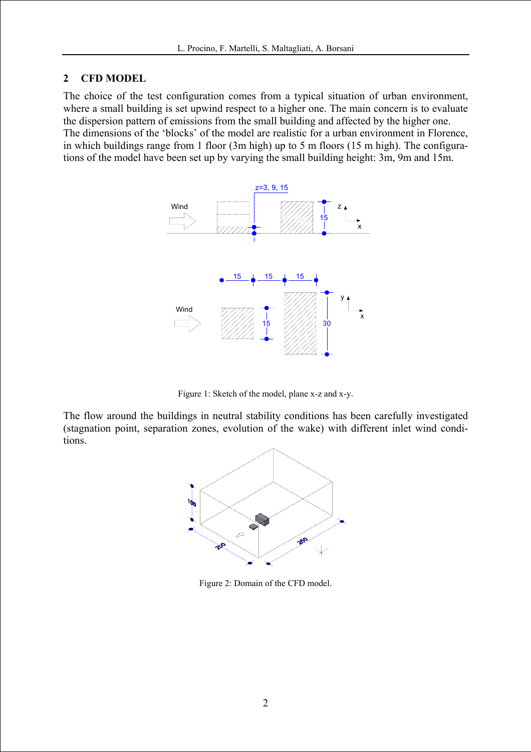#### **2 CFD MODEL**

The choice of the test configuration comes from a typical situation of urban environment, where a small building is set upwind respect to a higher one. The main concern is to evaluate the dispersion pattern of emissions from the small building and affected by the higher one. The dimensions of the 'blocks' of the model are realistic for a urban environment in Florence, in which buildings range from 1 floor (3m high) up to 5 m floors (15 m high). The configurations of the model have been set up by varying the small building height: 3m, 9m and 15m.



Figure 1: Sketch of the model, plane x-z and x-y.

The flow around the buildings in neutral stability conditions has been carefully investigated (stagnation point, separation zones, evolution of the wake) with different inlet wind conditions.



Figure 2: Domain of the CFD model.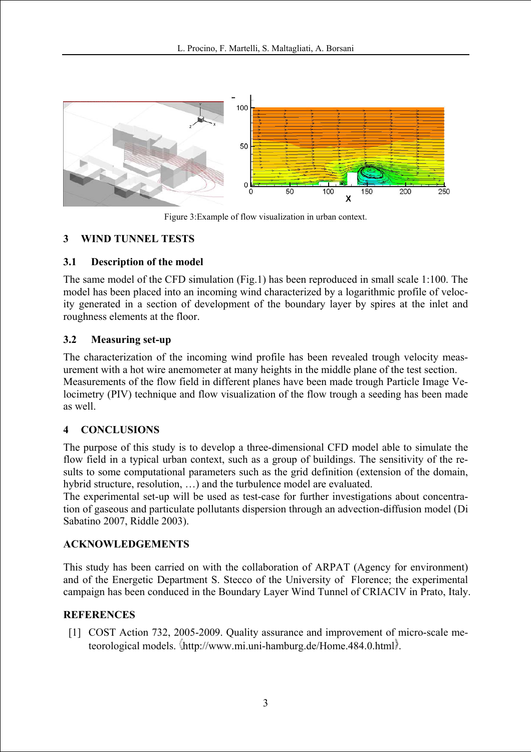

Figure 3:Example of flow visualization in urban context.

## **3 WIND TUNNEL TESTS**

### **3.1 Description of the model**

The same model of the CFD simulation (Fig.1) has been reproduced in small scale 1:100. The model has been placed into an incoming wind characterized by a logarithmic profile of velocity generated in a section of development of the boundary layer by spires at the inlet and roughness elements at the floor.

### **3.2 Measuring set-up**

The characterization of the incoming wind profile has been revealed trough velocity measurement with a hot wire anemometer at many heights in the middle plane of the test section. Measurements of the flow field in different planes have been made trough Particle Image Velocimetry (PIV) technique and flow visualization of the flow trough a seeding has been made as well.

# **4 CONCLUSIONS**

The purpose of this study is to develop a three-dimensional CFD model able to simulate the flow field in a typical urban context, such as a group of buildings. The sensitivity of the results to some computational parameters such as the grid definition (extension of the domain, hybrid structure, resolution, …) and the turbulence model are evaluated.

The experimental set-up will be used as test-case for further investigations about concentration of gaseous and particulate pollutants dispersion through an advection-diffusion model (Di Sabatino 2007, Riddle 2003).

### **ACKNOWLEDGEMENTS**

This study has been carried on with the collaboration of ARPAT (Agency for environment) and of the Energetic Department S. Stecco of the University of Florence; the experimental campaign has been conduced in the Boundary Layer Wind Tunnel of CRIACIV in Prato, Italy.

### **REFERENCES**

[1] COST Action 732, 2005-2009. Quality assurance and improvement of micro-scale meteorological models. http://www.mi.uni-hamburg.de/Home.484.0.html.